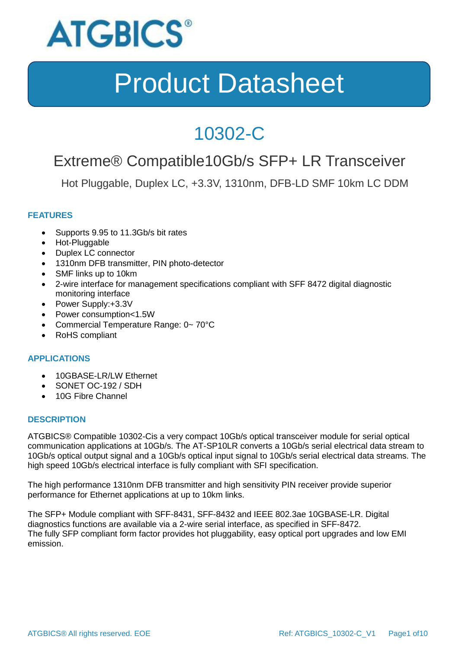

### 10302-C

### Extreme® Compatible10Gb/s SFP+ LR Transceiver

Hot Pluggable, Duplex LC, +3.3V, 1310nm, DFB-LD SMF 10km LC DDM

### **FEATURES**

- Supports 9.95 to 11.3Gb/s bit rates
- Hot-Pluggable
- Duplex LC connector
- 1310nm DFB transmitter, PIN photo-detector
- SMF links up to 10km
- 2-wire interface for management specifications compliant with SFF 8472 digital diagnostic monitoring interface
- Power Supply:+3.3V
- Power consumption<1.5W
- Commercial Temperature Range: 0~70°C
- RoHS compliant

### **APPLICATIONS**

- 10GBASE-LR/LW Ethernet
- SONET OC-192 / SDH
- 10G Fibre Channel

#### **DESCRIPTION**

ATGBICS® Compatible 10302-Cis a very compact 10Gb/s optical transceiver module for serial optical communication applications at 10Gb/s. The AT-SP10LR converts a 10Gb/s serial electrical data stream to 10Gb/s optical output signal and a 10Gb/s optical input signal to 10Gb/s serial electrical data streams. The high speed 10Gb/s electrical interface is fully compliant with SFI specification.

The high performance 1310nm DFB transmitter and high sensitivity PIN receiver provide superior performance for Ethernet applications at up to 10km links.

The SFP+ Module compliant with SFF-8431, SFF-8432 and IEEE 802.3ae 10GBASE-LR. Digital diagnostics functions are available via a 2-wire serial interface, as specified in SFF-8472. The fully SFP compliant form factor provides hot pluggability, easy optical port upgrades and low EMI emission.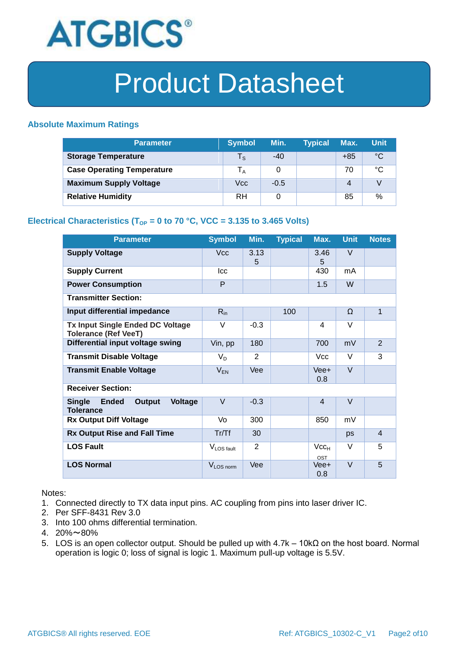

#### **Absolute Maximum Ratings**

| <b>Parameter</b>                  | <b>Symbol</b>           | Min.   | <b>Typical</b> | Max.  | <b>Unit</b> |
|-----------------------------------|-------------------------|--------|----------------|-------|-------------|
| <b>Storage Temperature</b>        | $\mathsf{T}_\mathsf{S}$ | $-40$  |                | $+85$ | °C          |
| <b>Case Operating Temperature</b> | l <sub>A</sub>          | 0      |                | 70    | °C          |
| <b>Maximum Supply Voltage</b>     | Vcc                     | $-0.5$ |                | 4     |             |
| <b>Relative Humidity</b>          | RH                      | 0      |                | 85    | %           |

### **Electrical Characteristics (T<sub>OP</sub> = 0 to 70 °C, VCC = 3.135 to 3.465 Volts)**

| <b>Parameter</b>                                                                     | <b>Symbol</b>          | Min.           | <b>Typical</b> | Max.             | <b>Unit</b> | <b>Notes</b>   |
|--------------------------------------------------------------------------------------|------------------------|----------------|----------------|------------------|-------------|----------------|
| <b>Supply Voltage</b>                                                                | <b>Vcc</b>             | 3.13<br>5      |                | 3.46<br>5        | V           |                |
| <b>Supply Current</b>                                                                | <b>Icc</b>             |                |                | 430              | mA          |                |
| <b>Power Consumption</b>                                                             | P                      |                |                | 1.5              | W           |                |
| <b>Transmitter Section:</b>                                                          |                        |                |                |                  |             |                |
| Input differential impedance                                                         | $R_{in}$               |                | 100            |                  | Ω           | $\mathbf{1}$   |
| <b>Tx Input Single Ended DC Voltage</b><br><b>Tolerance (Ref VeeT)</b>               | $\vee$                 | $-0.3$         |                | 4                | V           |                |
| Differential input voltage swing                                                     | Vin, pp                | 180            |                | 700              | mV          | $\overline{2}$ |
| <b>Transmit Disable Voltage</b>                                                      | $V_D$                  | $\overline{2}$ |                | <b>Vcc</b>       | $\vee$      | 3              |
| <b>Transmit Enable Voltage</b>                                                       | $V_{EN}$               | <b>Vee</b>     |                | $Vee+$<br>0.8    | $\vee$      |                |
| <b>Receiver Section:</b>                                                             |                        |                |                |                  |             |                |
| <b>Ended</b><br><b>Single</b><br><b>Output</b><br><b>Voltage</b><br><b>Tolerance</b> | $\vee$                 | $-0.3$         |                | $\overline{4}$   | $\vee$      |                |
| <b>Rx Output Diff Voltage</b>                                                        | Vo                     | 300            |                | 850              | mV          |                |
| <b>Rx Output Rise and Fall Time</b>                                                  | Tr/Tf                  | 30             |                |                  | ps          | $\overline{4}$ |
| <b>LOS Fault</b>                                                                     | V <sub>LOS fault</sub> | $\overline{2}$ |                | $Vcc_{H}$<br>OST | V           | 5              |
| <b>LOS Normal</b>                                                                    | V <sub>LOS</sub> norm  | Vee            |                | Vee+<br>0.8      | $\vee$      | 5              |

Notes:

- 1. Connected directly to TX data input pins. AC coupling from pins into laser driver IC.
- 2. Per SFF-8431 Rev 3.0
- 3. Into 100 ohms differential termination.
- 4. 20%~80%
- 5. LOS is an open collector output. Should be pulled up with 4.7k 10kΩ on the host board. Normal operation is logic 0; loss of signal is logic 1. Maximum pull-up voltage is 5.5V.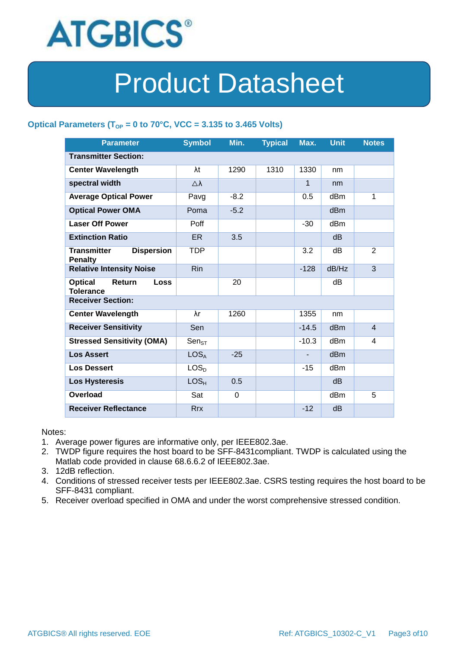

### Optical Parameters ( $T_{OP}$  = 0 to 70°C, VCC = 3.135 to 3.465 Volts)

| <b>Parameter</b>                                            | <b>Symbol</b>       | Min.           | <b>Typical</b> | Max.    | <b>Unit</b>     | <b>Notes</b>            |
|-------------------------------------------------------------|---------------------|----------------|----------------|---------|-----------------|-------------------------|
| <b>Transmitter Section:</b>                                 |                     |                |                |         |                 |                         |
| <b>Center Wavelength</b>                                    | λt                  | 1290           | 1310           | 1330    | nm              |                         |
| spectral width                                              | $\triangle \lambda$ |                |                | 1       | nm              |                         |
| <b>Average Optical Power</b>                                | Pavg                | $-8.2$         |                | 0.5     | dBm             | 1                       |
| <b>Optical Power OMA</b>                                    | Poma                | $-5.2$         |                |         | dB <sub>m</sub> |                         |
| <b>Laser Off Power</b>                                      | Poff                |                |                | $-30$   | dB <sub>m</sub> |                         |
| <b>Extinction Ratio</b>                                     | <b>ER</b>           | 3.5            |                |         | dB              |                         |
| <b>Transmitter</b><br><b>Dispersion</b><br><b>Penalty</b>   | <b>TDP</b>          |                |                | 3.2     | dΒ              | $\overline{2}$          |
| <b>Relative Intensity Noise</b>                             | <b>Rin</b>          |                |                | $-128$  | dB/Hz           | 3                       |
| <b>Optical</b><br>Return<br><b>Loss</b><br><b>Tolerance</b> |                     | 20             |                |         | dB              |                         |
| <b>Receiver Section:</b>                                    |                     |                |                |         |                 |                         |
| <b>Center Wavelength</b>                                    | λr                  | 1260           |                | 1355    | nm              |                         |
| <b>Receiver Sensitivity</b>                                 | Sen                 |                |                | $-14.5$ | dB <sub>m</sub> | $\overline{\mathbf{4}}$ |
| <b>Stressed Sensitivity (OMA)</b>                           | $Sen_{ST}$          |                |                | $-10.3$ | dBm             | 4                       |
| <b>Los Assert</b>                                           | LOS <sub>A</sub>    | $-25$          |                |         | d <sub>Bm</sub> |                         |
| <b>Los Dessert</b>                                          | LOS <sub>D</sub>    |                |                | $-15$   | dBm             |                         |
| <b>Los Hysteresis</b>                                       | LOS <sub>H</sub>    | 0.5            |                |         | dB              |                         |
| <b>Overload</b>                                             | Sat                 | $\overline{0}$ |                |         | dB <sub>m</sub> | 5                       |
| <b>Receiver Reflectance</b>                                 | <b>Rrx</b>          |                |                | $-12$   | dB              |                         |

Notes:

- 1. Average power figures are informative only, per IEEE802.3ae.
- 2. TWDP figure requires the host board to be SFF-8431compliant. TWDP is calculated using the Matlab code provided in clause 68.6.6.2 of IEEE802.3ae.
- 3. 12dB reflection.
- 4. Conditions of stressed receiver tests per IEEE802.3ae. CSRS testing requires the host board to be SFF-8431 compliant.
- 5. Receiver overload specified in OMA and under the worst comprehensive stressed condition.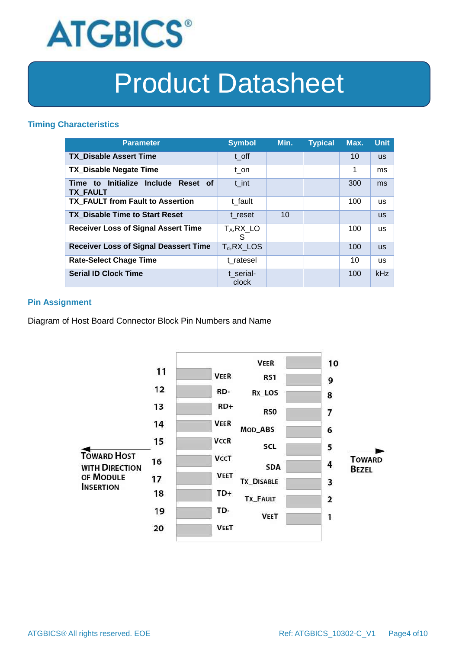

#### **Timing Characteristics**

| <b>Parameter</b>                                       | <b>Symbol</b>      | Min. | <b>Typical</b> | Max. | <b>Unit</b> |
|--------------------------------------------------------|--------------------|------|----------------|------|-------------|
| <b>TX Disable Assert Time</b>                          | t off              |      |                | 10   | <b>US</b>   |
| <b>TX Disable Negate Time</b>                          | t on               |      |                | 1    | ms          |
| Time to Initialize Include Reset of<br><b>TX FAULT</b> | t int              |      |                | 300  | ms          |
| <b>TX FAULT from Fault to Assertion</b>                | t fault            |      |                | 100  | <b>us</b>   |
| <b>TX Disable Time to Start Reset</b>                  | t reset            | 10   |                |      | <b>us</b>   |
| <b>Receiver Loss of Signal Assert Time</b>             | $T_A, RX_L$<br>S   |      |                | 100  | <b>us</b>   |
| <b>Receiver Loss of Signal Deassert Time</b>           | $T_d$ , RX_LOS     |      |                | 100  | <b>us</b>   |
| <b>Rate-Select Chage Time</b>                          | t ratesel          |      |                | 10   | <b>us</b>   |
| <b>Serial ID Clock Time</b>                            | t serial-<br>clock |      |                | 100  | kHz         |

### **Pin Assignment**

Diagram of Host Board Connector Block Pin Numbers and Name

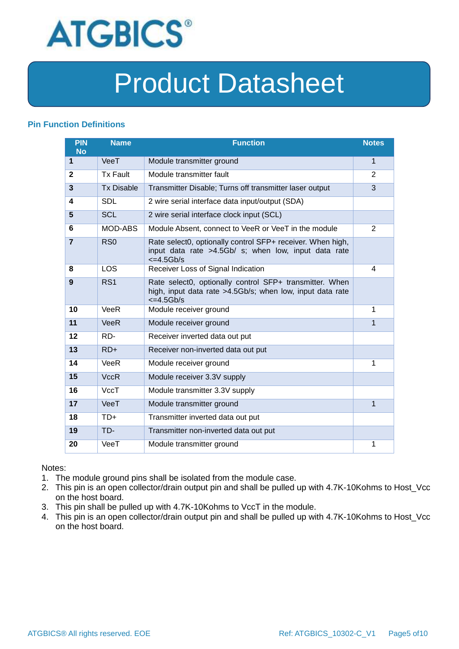

#### **Pin Function Definitions**

| PIN<br><b>No</b> | <b>Name</b>       | <b>Function</b>                                                                                                                               | <b>Notes</b>   |
|------------------|-------------------|-----------------------------------------------------------------------------------------------------------------------------------------------|----------------|
| 1                | VeeT              | Module transmitter ground                                                                                                                     | 1              |
| $\mathbf{2}$     | <b>Tx Fault</b>   | Module transmitter fault                                                                                                                      | $\overline{2}$ |
| 3                | <b>Tx Disable</b> | Transmitter Disable; Turns off transmitter laser output                                                                                       | 3              |
| 4                | <b>SDL</b>        | 2 wire serial interface data input/output (SDA)                                                                                               |                |
| 5                | <b>SCL</b>        | 2 wire serial interface clock input (SCL)                                                                                                     |                |
| 6                | MOD-ABS           | Module Absent, connect to VeeR or VeeT in the module                                                                                          | $\overline{2}$ |
| $\overline{7}$   | RSO               | Rate select0, optionally control SFP+ receiver. When high,<br>input data rate >4.5Gb/ s; when low, input data rate<br>$\epsilon$ =4.5Gb/s     |                |
| 8                | LOS               | Receiver Loss of Signal Indication                                                                                                            | 4              |
| 9                | RS <sub>1</sub>   | Rate select0, optionally control SFP+ transmitter. When<br>high, input data rate >4.5Gb/s; when low, input data rate<br>$\epsilon = 4.5$ Gb/s |                |
| 10               | VeeR              | Module receiver ground                                                                                                                        | 1              |
| 11               | <b>VeeR</b>       | Module receiver ground                                                                                                                        | 1              |
| 12               | RD-               | Receiver inverted data out put                                                                                                                |                |
| 13               | $RD+$             | Receiver non-inverted data out put                                                                                                            |                |
| 14               | VeeR              | Module receiver ground                                                                                                                        | 1              |
| 15               | <b>VccR</b>       | Module receiver 3.3V supply                                                                                                                   |                |
| 16               | VccT              | Module transmitter 3.3V supply                                                                                                                |                |
| 17               | VeeT              | Module transmitter ground                                                                                                                     | $\mathbf{1}$   |
| 18               | $TD+$             | Transmitter inverted data out put                                                                                                             |                |
| 19               | TD-               | Transmitter non-inverted data out put                                                                                                         |                |
| 20               | VeeT              | Module transmitter ground                                                                                                                     | 1              |

Notes:

- 1. The module ground pins shall be isolated from the module case.
- 2. This pin is an open collector/drain output pin and shall be pulled up with 4.7K-10Kohms to Host\_Vcc on the host board.
- 3. This pin shall be pulled up with 4.7K-10Kohms to VccT in the module.
- 4. This pin is an open collector/drain output pin and shall be pulled up with 4.7K-10Kohms to Host\_Vcc on the host board.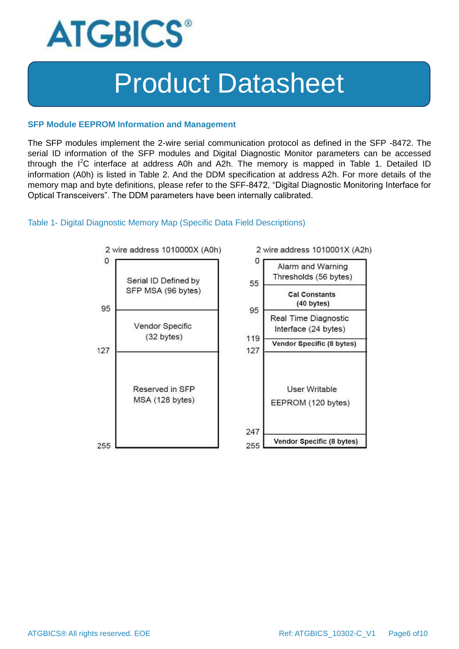

#### **SFP Module EEPROM Information and Management**

The SFP modules implement the 2-wire serial communication protocol as defined in the SFP -8472. The serial ID information of the SFP modules and Digital Diagnostic Monitor parameters can be accessed through the  $I^2C$  interface at address A0h and A2h. The memory is mapped in Table 1. Detailed ID information (A0h) is listed in Table 2. And the DDM specification at address A2h. For more details of the memory map and byte definitions, please refer to the SFF-8472, "Digital Diagnostic Monitoring Interface for Optical Transceivers". The DDM parameters have been internally calibrated.

#### Table 1- Digital Diagnostic Memory Map (Specific Data Field Descriptions)

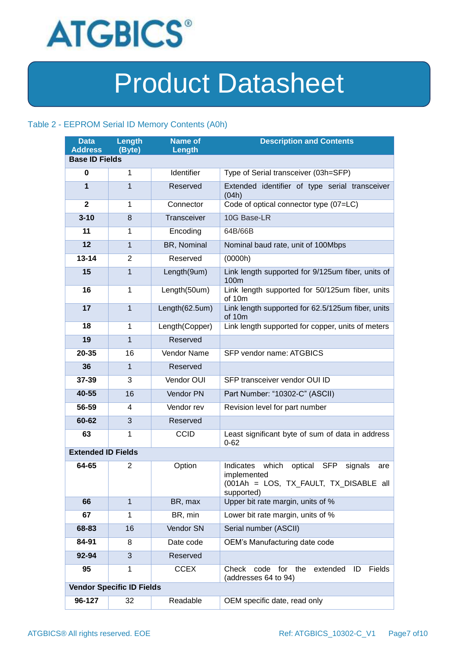

### Table 2 - EEPROM Serial ID Memory Contents (A0h)

| <b>Data</b><br><b>Address</b> | Length<br>(Byte)                 | <b>Name of</b><br>Length | <b>Description and Contents</b>                                                                                                      |
|-------------------------------|----------------------------------|--------------------------|--------------------------------------------------------------------------------------------------------------------------------------|
| <b>Base ID Fields</b>         |                                  |                          |                                                                                                                                      |
| 0                             | $\mathbf{1}$                     | Identifier               | Type of Serial transceiver (03h=SFP)                                                                                                 |
| $\mathbf{1}$                  | $\mathbf{1}$                     | Reserved                 | Extended identifier of type serial transceiver<br>(04h)                                                                              |
| $\mathbf{2}$                  | 1                                | Connector                | Code of optical connector type (07=LC)                                                                                               |
| $3 - 10$                      | 8                                | <b>Transceiver</b>       | 10G Base-LR                                                                                                                          |
| 11                            | 1                                | Encoding                 | 64B/66B                                                                                                                              |
| 12                            | $\mathbf{1}$                     | BR, Nominal              | Nominal baud rate, unit of 100Mbps                                                                                                   |
| $13 - 14$                     | $\overline{2}$                   | Reserved                 | (0000h)                                                                                                                              |
| 15                            | $\mathbf{1}$                     | Length(9um)              | Link length supported for 9/125um fiber, units of<br>100m                                                                            |
| 16                            | $\mathbf{1}$                     | Length(50um)             | Link length supported for 50/125um fiber, units<br>of 10m                                                                            |
| 17                            | $\mathbf{1}$                     | Length(62.5um)           | Link length supported for 62.5/125um fiber, units<br>of 10m                                                                          |
| 18                            | $\mathbf{1}$                     | Length(Copper)           | Link length supported for copper, units of meters                                                                                    |
| 19                            | $\mathbf{1}$                     | Reserved                 |                                                                                                                                      |
| 20-35                         | 16                               | <b>Vendor Name</b>       | SFP vendor name: ATGBICS                                                                                                             |
| 36                            | $\mathbf{1}$                     | Reserved                 |                                                                                                                                      |
| 37-39                         | 3                                | Vendor OUI               | SFP transceiver vendor OUI ID                                                                                                        |
| 40-55                         | 16                               | Vendor PN                | Part Number: "10302-C" (ASCII)                                                                                                       |
| 56-59                         | 4                                | Vendor rev               | Revision level for part number                                                                                                       |
| 60-62                         | 3                                | Reserved                 |                                                                                                                                      |
| 63                            | 1                                | <b>CCID</b>              | Least significant byte of sum of data in address<br>$0 - 62$                                                                         |
| <b>Extended ID Fields</b>     |                                  |                          |                                                                                                                                      |
| 64-65                         | 2                                | Option                   | Indicates<br>which<br><b>SFP</b><br>optical<br>signals<br>are<br>implemented<br>(001Ah = LOS, TX_FAULT, TX_DISABLE all<br>supported) |
| 66                            | $\mathbf{1}$                     | BR, max                  | Upper bit rate margin, units of %                                                                                                    |
| 67                            | 1                                | BR, min                  | Lower bit rate margin, units of %                                                                                                    |
| 68-83                         | 16                               | Vendor SN                | Serial number (ASCII)                                                                                                                |
| 84-91                         | 8                                | Date code                | OEM's Manufacturing date code                                                                                                        |
| 92-94                         | 3                                | Reserved                 |                                                                                                                                      |
| 95                            | 1                                | <b>CCEX</b>              | for<br>the<br>Fields<br>Check<br>code<br>extended<br>ID<br>(addresses 64 to 94)                                                      |
|                               | <b>Vendor Specific ID Fields</b> |                          |                                                                                                                                      |
| 96-127                        | 32                               | Readable                 | OEM specific date, read only                                                                                                         |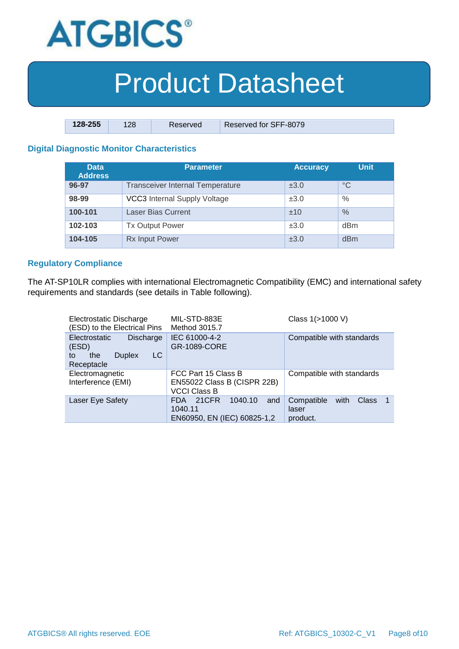

| $128 - 255$ | 128 | Reserved | Reserved for SFF-8079 |
|-------------|-----|----------|-----------------------|

### **Digital Diagnostic Monitor Characteristics**

| <b>Data</b><br><b>Address</b> | <b>Parameter</b>                        | <b>Accuracy</b> | <b>Unit</b>     |
|-------------------------------|-----------------------------------------|-----------------|-----------------|
| 96-97                         | <b>Transceiver Internal Temperature</b> | ±3.0            | $^{\circ}C$     |
| 98-99                         | <b>VCC3</b> Internal Supply Voltage     | ±3.0            | $\%$            |
| 100-101                       | <b>Laser Bias Current</b>               | ±10             | $\%$            |
| 102-103                       | <b>Tx Output Power</b>                  | ±3.0            | dBm             |
| 104-105                       | <b>Rx Input Power</b>                   | ±3.0            | d <sub>Bm</sub> |

#### **Regulatory Compliance**

The AT-SP10LR complies with international Electromagnetic Compatibility (EMC) and international safety requirements and standards (see details in Table following).

| Electrostatic Discharge<br>(ESD) to the Electrical Pins                                             | MIL-STD-883E<br>Method 3015.7                                             | Class 1(>1000 V)                                        |
|-----------------------------------------------------------------------------------------------------|---------------------------------------------------------------------------|---------------------------------------------------------|
| <b>Electrostatic</b><br><b>Discharge</b><br>(ESD)<br>LC<br><b>Duplex</b><br>the<br>tο<br>Receptacle | IEC 61000-4-2<br>GR-1089-CORE                                             | Compatible with standards                               |
| Electromagnetic<br>Interference (EMI)                                                               | FCC Part 15 Class B<br>EN55022 Class B (CISPR 22B)<br><b>VCCI Class B</b> | Compatible with standards                               |
| Laser Eye Safety                                                                                    | 21CFR<br>1040.10<br>FDA.<br>and<br>1040.11<br>EN60950, EN (IEC) 60825-1,2 | Compatible<br><b>Class</b><br>with<br>laser<br>product. |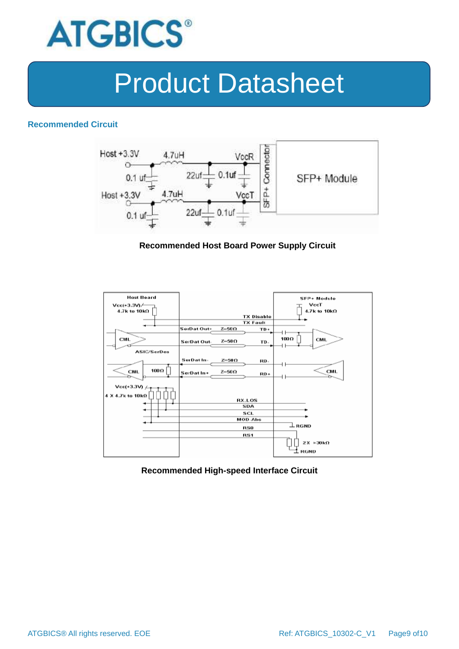

#### **Recommended Circuit**



#### **Recommended Host Board Power Supply Circuit**



#### **Recommended High-speed Interface Circuit**